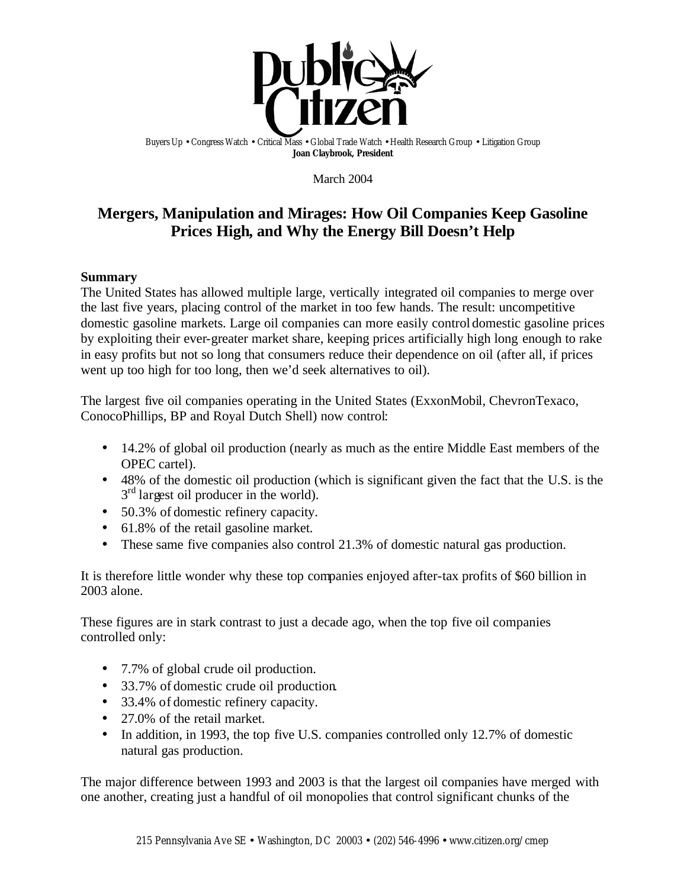

Buyers Up • Congress Watch • Critical Mass • Global Trade Watch • Health Research Group • Litigation Group **Joan Claybrook, President**

March 2004

# **Mergers, Manipulation and Mirages: How Oil Companies Keep Gasoline Prices High, and Why the Energy Bill Doesn't Help**

### **Summary**

The United States has allowed multiple large, vertically integrated oil companies to merge over the last five years, placing control of the market in too few hands. The result: uncompetitive domestic gasoline markets. Large oil companies can more easily control domestic gasoline prices by exploiting their ever-greater market share, keeping prices artificially high long enough to rake in easy profits but not so long that consumers reduce their dependence on oil (after all, if prices went up too high for too long, then we'd seek alternatives to oil).

The largest five oil companies operating in the United States (ExxonMobil, ChevronTexaco, ConocoPhillips, BP and Royal Dutch Shell) now control:

- 14.2% of global oil production (nearly as much as the entire Middle East members of the OPEC cartel).
- 48% of the domestic oil production (which is significant given the fact that the U.S. is the 3<sup>rd</sup> largest oil producer in the world).
- 50.3% of domestic refinery capacity.
- 61.8% of the retail gasoline market.
- These same five companies also control 21.3% of domestic natural gas production.

It is therefore little wonder why these top companies enjoyed after-tax profits of \$60 billion in 2003 alone.

These figures are in stark contrast to just a decade ago, when the top five oil companies controlled only:

- 7.7% of global crude oil production.
- 33.7% of domestic crude oil production.
- 33.4% of domestic refinery capacity.
- 27.0% of the retail market.
- In addition, in 1993, the top five U.S. companies controlled only 12.7% of domestic natural gas production.

The major difference between 1993 and 2003 is that the largest oil companies have merged with one another, creating just a handful of oil monopolies that control significant chunks of the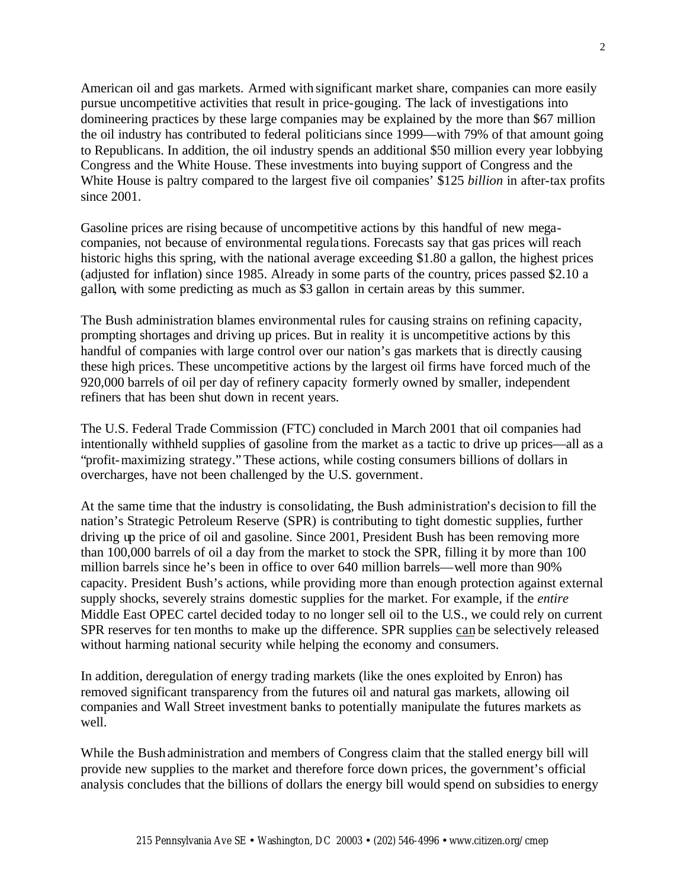American oil and gas markets. Armed with significant market share, companies can more easily pursue uncompetitive activities that result in price-gouging. The lack of investigations into domineering practices by these large companies may be explained by the more than \$67 million the oil industry has contributed to federal politicians since 1999—with 79% of that amount going to Republicans. In addition, the oil industry spends an additional \$50 million every year lobbying Congress and the White House. These investments into buying support of Congress and the White House is paltry compared to the largest five oil companies' \$125 *billion* in after-tax profits since 2001.

Gasoline prices are rising because of uncompetitive actions by this handful of new megacompanies, not because of environmental regula tions. Forecasts say that gas prices will reach historic highs this spring, with the national average exceeding \$1.80 a gallon, the highest prices (adjusted for inflation) since 1985. Already in some parts of the country, prices passed \$2.10 a gallon, with some predicting as much as \$3 gallon in certain areas by this summer.

The Bush administration blames environmental rules for causing strains on refining capacity, prompting shortages and driving up prices. But in reality it is uncompetitive actions by this handful of companies with large control over our nation's gas markets that is directly causing these high prices. These uncompetitive actions by the largest oil firms have forced much of the 920,000 barrels of oil per day of refinery capacity formerly owned by smaller, independent refiners that has been shut down in recent years.

The U.S. Federal Trade Commission (FTC) concluded in March 2001 that oil companies had intentionally withheld supplies of gasoline from the market as a tactic to drive up prices—all as a "profit-maximizing strategy." These actions, while costing consumers billions of dollars in overcharges, have not been challenged by the U.S. government.

At the same time that the industry is consolidating, the Bush administration's decision to fill the nation's Strategic Petroleum Reserve (SPR) is contributing to tight domestic supplies, further driving up the price of oil and gasoline. Since 2001, President Bush has been removing more than 100,000 barrels of oil a day from the market to stock the SPR, filling it by more than 100 million barrels since he's been in office to over 640 million barrels—well more than 90% capacity. President Bush's actions, while providing more than enough protection against external supply shocks, severely strains domestic supplies for the market. For example, if the *entire* Middle East OPEC cartel decided today to no longer sell oil to the U.S., we could rely on current SPR reserves for ten months to make up the difference. SPR supplies can be selectively released without harming national security while helping the economy and consumers.

In addition, deregulation of energy trading markets (like the ones exploited by Enron) has removed significant transparency from the futures oil and natural gas markets, allowing oil companies and Wall Street investment banks to potentially manipulate the futures markets as well.

While the Bush administration and members of Congress claim that the stalled energy bill will provide new supplies to the market and therefore force down prices, the government's official analysis concludes that the billions of dollars the energy bill would spend on subsidies to energy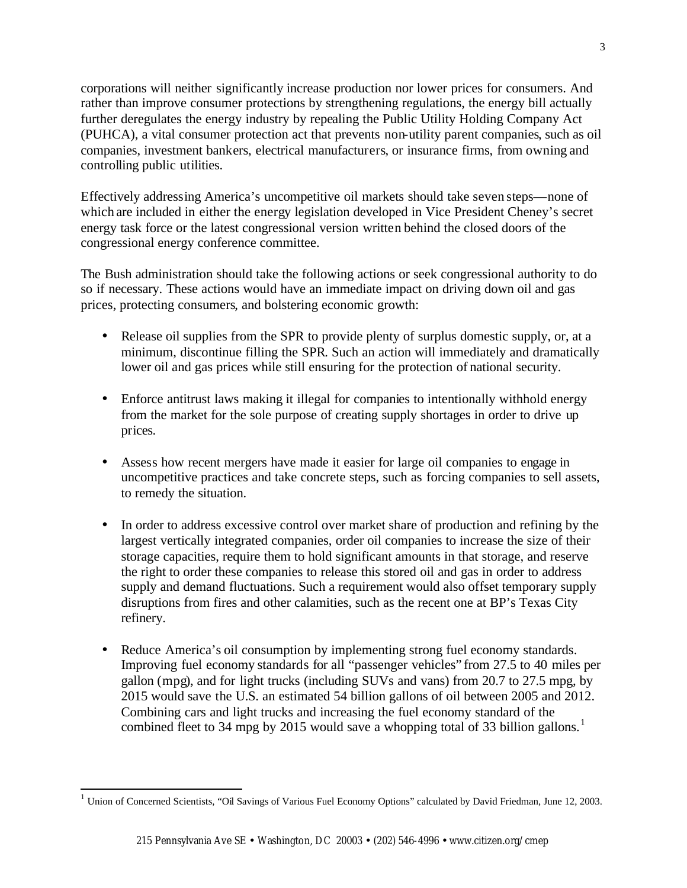corporations will neither significantly increase production nor lower prices for consumers. And rather than improve consumer protections by strengthening regulations, the energy bill actually further deregulates the energy industry by repealing the Public Utility Holding Company Act (PUHCA), a vital consumer protection act that prevents non-utility parent companies, such as oil companies, investment bankers, electrical manufacturers, or insurance firms, from owning and controlling public utilities.

Effectively addressing America's uncompetitive oil markets should take seven steps—none of which are included in either the energy legislation developed in Vice President Cheney's secret energy task force or the latest congressional version written behind the closed doors of the congressional energy conference committee.

The Bush administration should take the following actions or seek congressional authority to do so if necessary. These actions would have an immediate impact on driving down oil and gas prices, protecting consumers, and bolstering economic growth:

- Release oil supplies from the SPR to provide plenty of surplus domestic supply, or, at a minimum, discontinue filling the SPR. Such an action will immediately and dramatically lower oil and gas prices while still ensuring for the protection of national security.
- Enforce antitrust laws making it illegal for companies to intentionally withhold energy from the market for the sole purpose of creating supply shortages in order to drive up prices.
- Assess how recent mergers have made it easier for large oil companies to engage in uncompetitive practices and take concrete steps, such as forcing companies to sell assets, to remedy the situation.
- In order to address excessive control over market share of production and refining by the largest vertically integrated companies, order oil companies to increase the size of their storage capacities, require them to hold significant amounts in that storage, and reserve the right to order these companies to release this stored oil and gas in order to address supply and demand fluctuations. Such a requirement would also offset temporary supply disruptions from fires and other calamities, such as the recent one at BP's Texas City refinery.
- Reduce America's oil consumption by implementing strong fuel economy standards. Improving fuel economy standards for all "passenger vehicles" from 27.5 to 40 miles per gallon (mpg), and for light trucks (including SUVs and vans) from 20.7 to 27.5 mpg, by 2015 would save the U.S. an estimated 54 billion gallons of oil between 2005 and 2012. Combining cars and light trucks and increasing the fuel economy standard of the combined fleet to 34 mpg by 2015 would save a whopping total of 33 billion gallons.<sup>1</sup>

<sup>1</sup> Union of Concerned Scientists, "Oil Savings of Various Fuel Economy Options" calculated by David Friedman, June 12, 2003.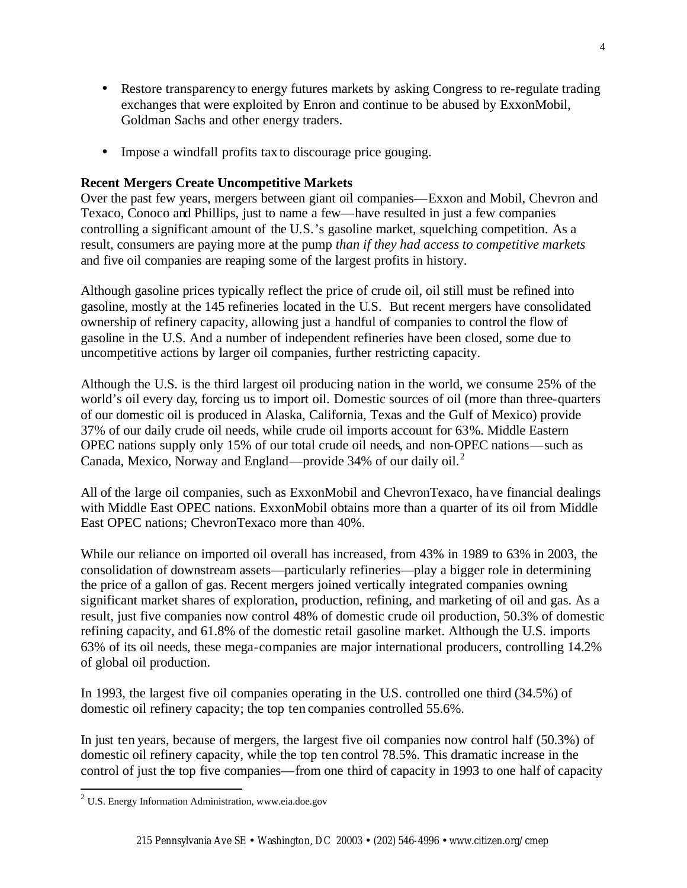- Restore transparency to energy futures markets by asking Congress to re-regulate trading exchanges that were exploited by Enron and continue to be abused by ExxonMobil, Goldman Sachs and other energy traders.
- Impose a windfall profits tax to discourage price gouging.

#### **Recent Mergers Create Uncompetitive Markets**

Over the past few years, mergers between giant oil companies—Exxon and Mobil, Chevron and Texaco, Conoco and Phillips, just to name a few—have resulted in just a few companies controlling a significant amount of the U.S.'s gasoline market, squelching competition. As a result, consumers are paying more at the pump *than if they had access to competitive markets* and five oil companies are reaping some of the largest profits in history.

Although gasoline prices typically reflect the price of crude oil, oil still must be refined into gasoline, mostly at the 145 refineries located in the U.S. But recent mergers have consolidated ownership of refinery capacity, allowing just a handful of companies to control the flow of gasoline in the U.S. And a number of independent refineries have been closed, some due to uncompetitive actions by larger oil companies, further restricting capacity.

Although the U.S. is the third largest oil producing nation in the world, we consume 25% of the world's oil every day, forcing us to import oil. Domestic sources of oil (more than three-quarters of our domestic oil is produced in Alaska, California, Texas and the Gulf of Mexico) provide 37% of our daily crude oil needs, while crude oil imports account for 63%. Middle Eastern OPEC nations supply only 15% of our total crude oil needs, and non-OPEC nations—such as Canada, Mexico, Norway and England—provide 34% of our daily oil.<sup>2</sup>

All of the large oil companies, such as ExxonMobil and ChevronTexaco, have financial dealings with Middle East OPEC nations. ExxonMobil obtains more than a quarter of its oil from Middle East OPEC nations; ChevronTexaco more than 40%.

While our reliance on imported oil overall has increased, from 43% in 1989 to 63% in 2003, the consolidation of downstream assets—particularly refineries—play a bigger role in determining the price of a gallon of gas. Recent mergers joined vertically integrated companies owning significant market shares of exploration, production, refining, and marketing of oil and gas. As a result, just five companies now control 48% of domestic crude oil production, 50.3% of domestic refining capacity, and 61.8% of the domestic retail gasoline market. Although the U.S. imports 63% of its oil needs, these mega-companies are major international producers, controlling 14.2% of global oil production.

In 1993, the largest five oil companies operating in the U.S. controlled one third (34.5%) of domestic oil refinery capacity; the top ten companies controlled 55.6%.

In just ten years, because of mergers, the largest five oil companies now control half (50.3%) of domestic oil refinery capacity, while the top ten control 78.5%. This dramatic increase in the control of just the top five companies—from one third of capacity in 1993 to one half of capacity

<sup>2</sup> U.S. Energy Information Administration, www.eia.doe.gov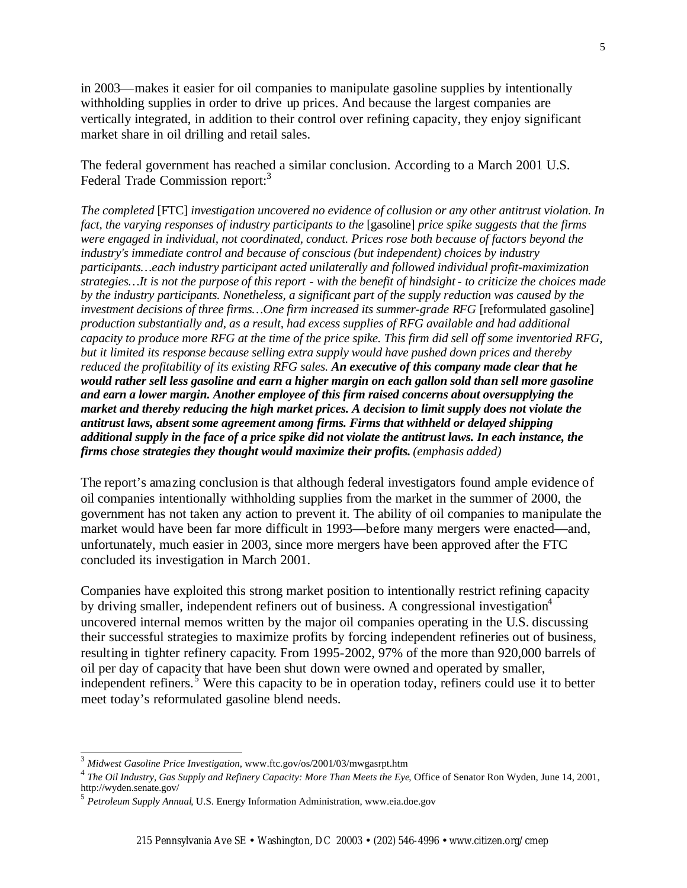in 2003—makes it easier for oil companies to manipulate gasoline supplies by intentionally withholding supplies in order to drive up prices. And because the largest companies are vertically integrated, in addition to their control over refining capacity, they enjoy significant market share in oil drilling and retail sales.

The federal government has reached a similar conclusion. According to a March 2001 U.S. Federal Trade Commission report:<sup>3</sup>

*The completed* [FTC] *investigation uncovered no evidence of collusion or any other antitrust violation. In fact, the varying responses of industry participants to the* [gasoline] *price spike suggests that the firms were engaged in individual, not coordinated, conduct. Prices rose both because of factors beyond the industry's immediate control and because of conscious (but independent) choices by industry participants…each industry participant acted unilaterally and followed individual profit-maximization strategies…It is not the purpose of this report - with the benefit of hindsight - to criticize the choices made by the industry participants. Nonetheless, a significant part of the supply reduction was caused by the investment decisions of three firms... One firm increased its summer-grade RFG* [reformulated gasoline] *production substantially and, as a result, had excess supplies of RFG available and had additional capacity to produce more RFG at the time of the price spike. This firm did sell off some inventoried RFG, but it limited its response because selling extra supply would have pushed down prices and thereby reduced the profitability of its existing RFG sales. An executive of this company made clear that he would rather sell less gasoline and earn a higher margin on each gallon sold than sell more gasoline and earn a lower margin. Another employee of this firm raised concerns about oversupplying the market and thereby reducing the high market prices. A decision to limit supply does not violate the antitrust laws, absent some agreement among firms. Firms that withheld or delayed shipping additional supply in the face of a price spike did not violate the antitrust laws. In each instance, the firms chose strategies they thought would maximize their profits. (emphasis added)*

The report's amazing conclusion is that although federal investigators found ample evidence of oil companies intentionally withholding supplies from the market in the summer of 2000, the government has not taken any action to prevent it. The ability of oil companies to manipulate the market would have been far more difficult in 1993—before many mergers were enacted—and, unfortunately, much easier in 2003, since more mergers have been approved after the FTC concluded its investigation in March 2001.

Companies have exploited this strong market position to intentionally restrict refining capacity by driving smaller, independent refiners out of business. A congressional investigation<sup>4</sup> uncovered internal memos written by the major oil companies operating in the U.S. discussing their successful strategies to maximize profits by forcing independent refineries out of business, resulting in tighter refinery capacity. From 1995-2002, 97% of the more than 920,000 barrels of oil per day of capacity that have been shut down were owned and operated by smaller, independent refiners.<sup>5</sup> Were this capacity to be in operation today, refiners could use it to better meet today's reformulated gasoline blend needs.

l

5

<sup>3</sup> *Midwest Gasoline Price Investigation*, www.ftc.gov/os/2001/03/mwgasrpt.htm

<sup>4</sup> *The Oil Industry, Gas Supply and Refinery Capacity: More Than Meets the Eye*, Office of Senator Ron Wyden, June 14, 2001, http://wyden.senate.gov/

<sup>5</sup> *Petroleum Supply Annual*, U.S. Energy Information Administration, www.eia.doe.gov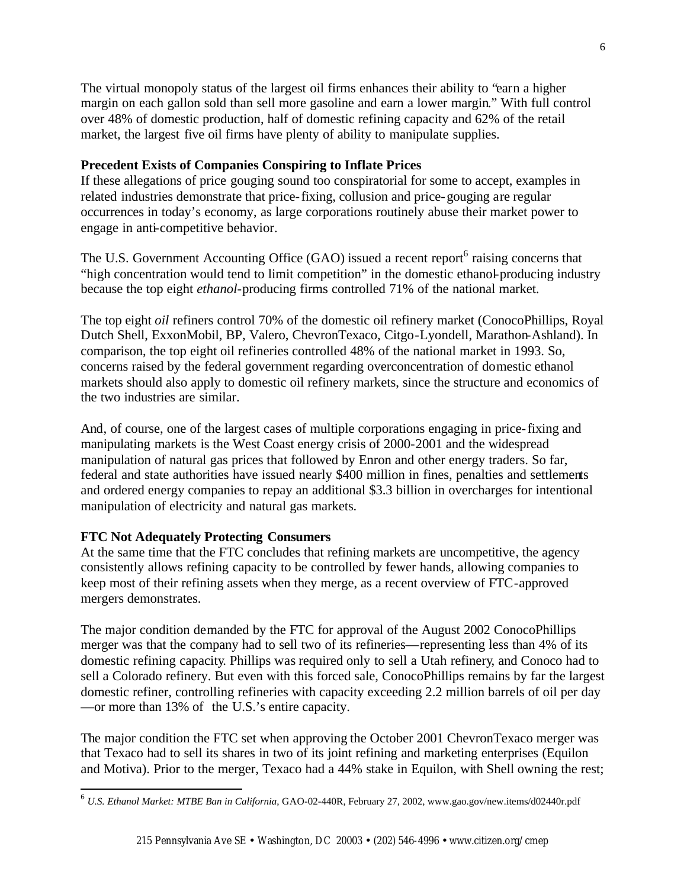The virtual monopoly status of the largest oil firms enhances their ability to "earn a higher margin on each gallon sold than sell more gasoline and earn a lower margin." With full control over 48% of domestic production, half of domestic refining capacity and 62% of the retail market, the largest five oil firms have plenty of ability to manipulate supplies.

### **Precedent Exists of Companies Conspiring to Inflate Prices**

If these allegations of price gouging sound too conspiratorial for some to accept, examples in related industries demonstrate that price-fixing, collusion and price-gouging are regular occurrences in today's economy, as large corporations routinely abuse their market power to engage in anti-competitive behavior.

The U.S. Government Accounting Office (GAO) issued a recent report<sup>6</sup> raising concerns that "high concentration would tend to limit competition" in the domestic ethanol-producing industry because the top eight *ethanol*-producing firms controlled 71% of the national market.

The top eight *oil* refiners control 70% of the domestic oil refinery market (ConocoPhillips, Royal Dutch Shell, ExxonMobil, BP, Valero, ChevronTexaco, Citgo-Lyondell, Marathon-Ashland). In comparison, the top eight oil refineries controlled 48% of the national market in 1993. So, concerns raised by the federal government regarding overconcentration of domestic ethanol markets should also apply to domestic oil refinery markets, since the structure and economics of the two industries are similar.

And, of course, one of the largest cases of multiple corporations engaging in price-fixing and manipulating markets is the West Coast energy crisis of 2000-2001 and the widespread manipulation of natural gas prices that followed by Enron and other energy traders. So far, federal and state authorities have issued nearly \$400 million in fines, penalties and settlements and ordered energy companies to repay an additional \$3.3 billion in overcharges for intentional manipulation of electricity and natural gas markets.

#### **FTC Not Adequately Protecting Consumers**

l

At the same time that the FTC concludes that refining markets are uncompetitive, the agency consistently allows refining capacity to be controlled by fewer hands, allowing companies to keep most of their refining assets when they merge, as a recent overview of FTC-approved mergers demonstrates.

The major condition demanded by the FTC for approval of the August 2002 ConocoPhillips merger was that the company had to sell two of its refineries—representing less than 4% of its domestic refining capacity. Phillips was required only to sell a Utah refinery, and Conoco had to sell a Colorado refinery. But even with this forced sale, ConocoPhillips remains by far the largest domestic refiner, controlling refineries with capacity exceeding 2.2 million barrels of oil per day —or more than 13% of the U.S.'s entire capacity.

The major condition the FTC set when approving the October 2001 ChevronTexaco merger was that Texaco had to sell its shares in two of its joint refining and marketing enterprises (Equilon and Motiva). Prior to the merger, Texaco had a 44% stake in Equilon, with Shell owning the rest;

<sup>6</sup> *U.S. Ethanol Market: MTBE Ban in California*, GAO-02-440R, February 27, 2002, www.gao.gov/new.items/d02440r.pdf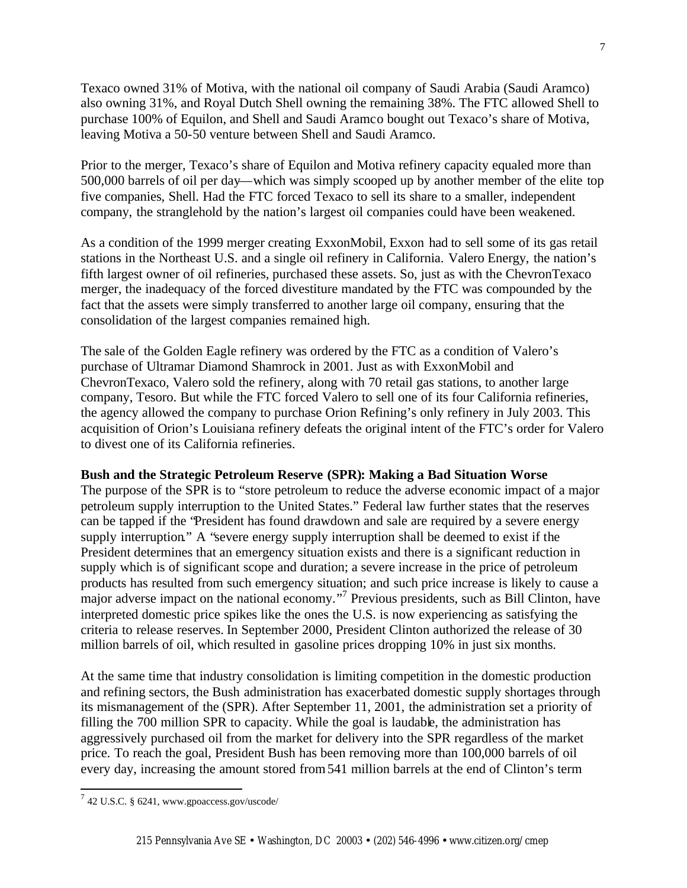Texaco owned 31% of Motiva, with the national oil company of Saudi Arabia (Saudi Aramco) also owning 31%, and Royal Dutch Shell owning the remaining 38%. The FTC allowed Shell to purchase 100% of Equilon, and Shell and Saudi Aramco bought out Texaco's share of Motiva, leaving Motiva a 50-50 venture between Shell and Saudi Aramco.

Prior to the merger, Texaco's share of Equilon and Motiva refinery capacity equaled more than 500,000 barrels of oil per day—which was simply scooped up by another member of the elite top five companies, Shell. Had the FTC forced Texaco to sell its share to a smaller, independent company, the stranglehold by the nation's largest oil companies could have been weakened.

As a condition of the 1999 merger creating ExxonMobil, Exxon had to sell some of its gas retail stations in the Northeast U.S. and a single oil refinery in California. Valero Energy, the nation's fifth largest owner of oil refineries, purchased these assets. So, just as with the ChevronTexaco merger, the inadequacy of the forced divestiture mandated by the FTC was compounded by the fact that the assets were simply transferred to another large oil company, ensuring that the consolidation of the largest companies remained high.

The sale of the Golden Eagle refinery was ordered by the FTC as a condition of Valero's purchase of Ultramar Diamond Shamrock in 2001. Just as with ExxonMobil and ChevronTexaco, Valero sold the refinery, along with 70 retail gas stations, to another large company, Tesoro. But while the FTC forced Valero to sell one of its four California refineries, the agency allowed the company to purchase Orion Refining's only refinery in July 2003. This acquisition of Orion's Louisiana refinery defeats the original intent of the FTC's order for Valero to divest one of its California refineries.

#### **Bush and the Strategic Petroleum Reserve (SPR): Making a Bad Situation Worse**

The purpose of the SPR is to "store petroleum to reduce the adverse economic impact of a major petroleum supply interruption to the United States." Federal law further states that the reserves can be tapped if the "President has found drawdown and sale are required by a severe energy supply interruption." A "severe energy supply interruption shall be deemed to exist if the President determines that an emergency situation exists and there is a significant reduction in supply which is of significant scope and duration; a severe increase in the price of petroleum products has resulted from such emergency situation; and such price increase is likely to cause a major adverse impact on the national economy."<sup>7</sup> Previous presidents, such as Bill Clinton, have interpreted domestic price spikes like the ones the U.S. is now experiencing as satisfying the criteria to release reserves. In September 2000, President Clinton authorized the release of 30 million barrels of oil, which resulted in gasoline prices dropping 10% in just six months.

At the same time that industry consolidation is limiting competition in the domestic production and refining sectors, the Bush administration has exacerbated domestic supply shortages through its mismanagement of the (SPR). After September 11, 2001, the administration set a priority of filling the 700 million SPR to capacity. While the goal is laudable, the administration has aggressively purchased oil from the market for delivery into the SPR regardless of the market price. To reach the goal, President Bush has been removing more than 100,000 barrels of oil every day, increasing the amount stored from 541 million barrels at the end of Clinton's term

 $^7$  42 U.S.C. § 6241, www.gpoaccess.gov/uscode/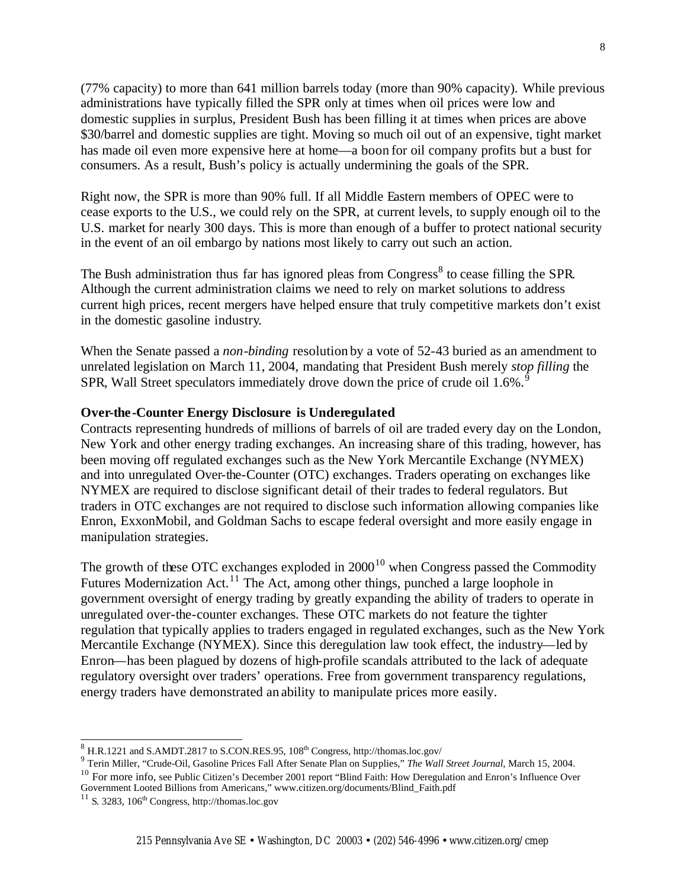(77% capacity) to more than 641 million barrels today (more than 90% capacity). While previous administrations have typically filled the SPR only at times when oil prices were low and domestic supplies in surplus, President Bush has been filling it at times when prices are above \$30/barrel and domestic supplies are tight. Moving so much oil out of an expensive, tight market has made oil even more expensive here at home—a boon for oil company profits but a bust for consumers. As a result, Bush's policy is actually undermining the goals of the SPR.

Right now, the SPR is more than 90% full. If all Middle Eastern members of OPEC were to cease exports to the U.S., we could rely on the SPR, at current levels, to supply enough oil to the U.S. market for nearly 300 days. This is more than enough of a buffer to protect national security in the event of an oil embargo by nations most likely to carry out such an action.

The Bush administration thus far has ignored pleas from Congress<sup>8</sup> to cease filling the SPR. Although the current administration claims we need to rely on market solutions to address current high prices, recent mergers have helped ensure that truly competitive markets don't exist in the domestic gasoline industry.

When the Senate passed a *non-binding* resolution by a vote of 52-43 buried as an amendment to unrelated legislation on March 11, 2004, mandating that President Bush merely *stop filling* the SPR, Wall Street speculators immediately drove down the price of crude oil  $1.6\%$ .<sup>9</sup>

#### **Over-the-Counter Energy Disclosure is Underegulated**

Contracts representing hundreds of millions of barrels of oil are traded every day on the London, New York and other energy trading exchanges. An increasing share of this trading, however, has been moving off regulated exchanges such as the New York Mercantile Exchange (NYMEX) and into unregulated Over-the-Counter (OTC) exchanges. Traders operating on exchanges like NYMEX are required to disclose significant detail of their trades to federal regulators. But traders in OTC exchanges are not required to disclose such information allowing companies like Enron, ExxonMobil, and Goldman Sachs to escape federal oversight and more easily engage in manipulation strategies.

The growth of these OTC exchanges exploded in  $2000<sup>10</sup>$  when Congress passed the Commodity Futures Modernization Act.<sup>11</sup> The Act, among other things, punched a large loophole in government oversight of energy trading by greatly expanding the ability of traders to operate in unregulated over-the-counter exchanges. These OTC markets do not feature the tighter regulation that typically applies to traders engaged in regulated exchanges, such as the New York Mercantile Exchange (NYMEX). Since this deregulation law took effect, the industry—led by Enron—has been plagued by dozens of high-profile scandals attributed to the lack of adequate regulatory oversight over traders' operations. Free from government transparency regulations, energy traders have demonstrated an ability to manipulate prices more easily.

 $8$  H.R.1221 and S.AMDT.2817 to S.CON.RES.95, 108<sup>th</sup> Congress, http://thomas.loc.gov/

<sup>9</sup> Terin Miller, "Crude-Oil, Gasoline Prices Fall After Senate Plan on Supplies," *The Wall Street Journal*, March 15, 2004. <sup>10</sup> For more info, see Public Citizen's December 2001 report "Blind Faith: How Deregulation and Enron's Influence Over Government Looted Billions from Americans," www.citizen.org/documents/Blind\_Faith.pdf

 $11$  S. 3283,  $106<sup>th</sup>$  Congress, http://thomas.loc.gov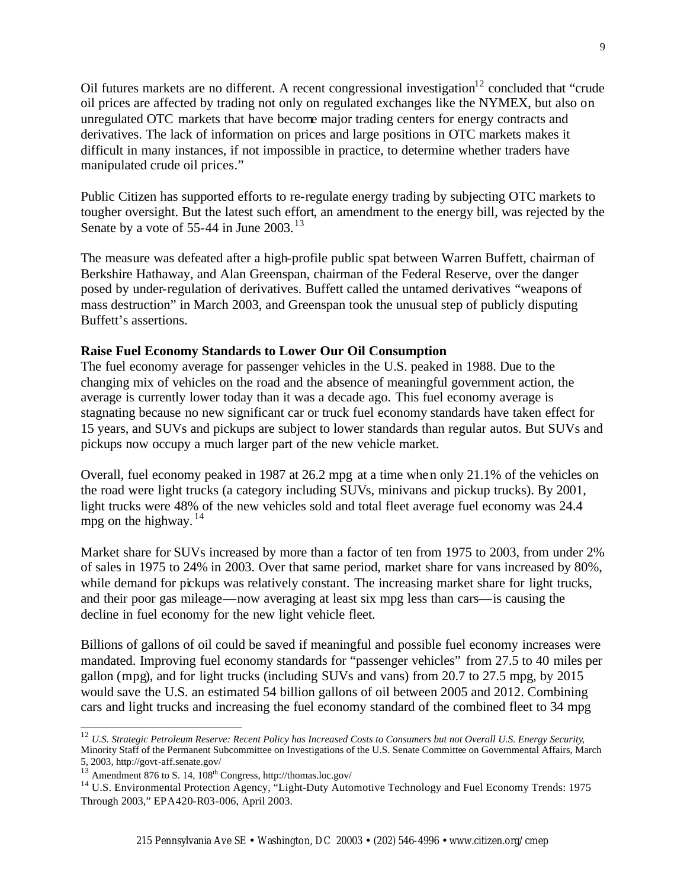Oil futures markets are no different. A recent congressional investigation  $12$  concluded that "crude" oil prices are affected by trading not only on regulated exchanges like the NYMEX, but also on unregulated OTC markets that have become major trading centers for energy contracts and derivatives. The lack of information on prices and large positions in OTC markets makes it difficult in many instances, if not impossible in practice, to determine whether traders have manipulated crude oil prices."

Public Citizen has supported efforts to re-regulate energy trading by subjecting OTC markets to tougher oversight. But the latest such effort, an amendment to the energy bill, was rejected by the Senate by a vote of 55-44 in June  $2003$ .<sup>13</sup>

The measure was defeated after a high-profile public spat between Warren Buffett, chairman of Berkshire Hathaway, and Alan Greenspan, chairman of the Federal Reserve, over the danger posed by under-regulation of derivatives. Buffett called the untamed derivatives "weapons of mass destruction" in March 2003, and Greenspan took the unusual step of publicly disputing Buffett's assertions.

#### **Raise Fuel Economy Standards to Lower Our Oil Consumption**

The fuel economy average for passenger vehicles in the U.S. peaked in 1988. Due to the changing mix of vehicles on the road and the absence of meaningful government action, the average is currently lower today than it was a decade ago. This fuel economy average is stagnating because no new significant car or truck fuel economy standards have taken effect for 15 years, and SUVs and pickups are subject to lower standards than regular autos. But SUVs and pickups now occupy a much larger part of the new vehicle market.

Overall, fuel economy peaked in 1987 at 26.2 mpg at a time when only 21.1% of the vehicles on the road were light trucks (a category including SUVs, minivans and pickup trucks). By 2001, light trucks were 48% of the new vehicles sold and total fleet average fuel economy was 24.4 mpg on the highway.  $14$ 

Market share for SUVs increased by more than a factor of ten from 1975 to 2003, from under 2% of sales in 1975 to 24% in 2003. Over that same period, market share for vans increased by 80%, while demand for pickups was relatively constant. The increasing market share for light trucks, and their poor gas mileage—now averaging at least six mpg less than cars—is causing the decline in fuel economy for the new light vehicle fleet.

Billions of gallons of oil could be saved if meaningful and possible fuel economy increases were mandated. Improving fuel economy standards for "passenger vehicles" from 27.5 to 40 miles per gallon (mpg), and for light trucks (including SUVs and vans) from 20.7 to 27.5 mpg, by 2015 would save the U.S. an estimated 54 billion gallons of oil between 2005 and 2012. Combining cars and light trucks and increasing the fuel economy standard of the combined fleet to 34 mpg

<sup>12</sup> *U.S. Strategic Petroleum Reserve: Recent Policy has Increased Costs to Consumers but not Overall U.S. Energy Security*, Minority Staff of the Permanent Subcommittee on Investigations of the U.S. Senate Committee on Governmental Affairs, March 5, 2003, http://govt-aff.senate.gov/

<sup>&</sup>lt;sup>13</sup> Amendment 876 to S. 14, 108<sup>th</sup> Congress, http://thomas.loc.gov/

<sup>&</sup>lt;sup>14</sup> U.S. Environmental Protection Agency, "Light-Duty Automotive Technology and Fuel Economy Trends: 1975 Through 2003," EPA420-R03-006, April 2003.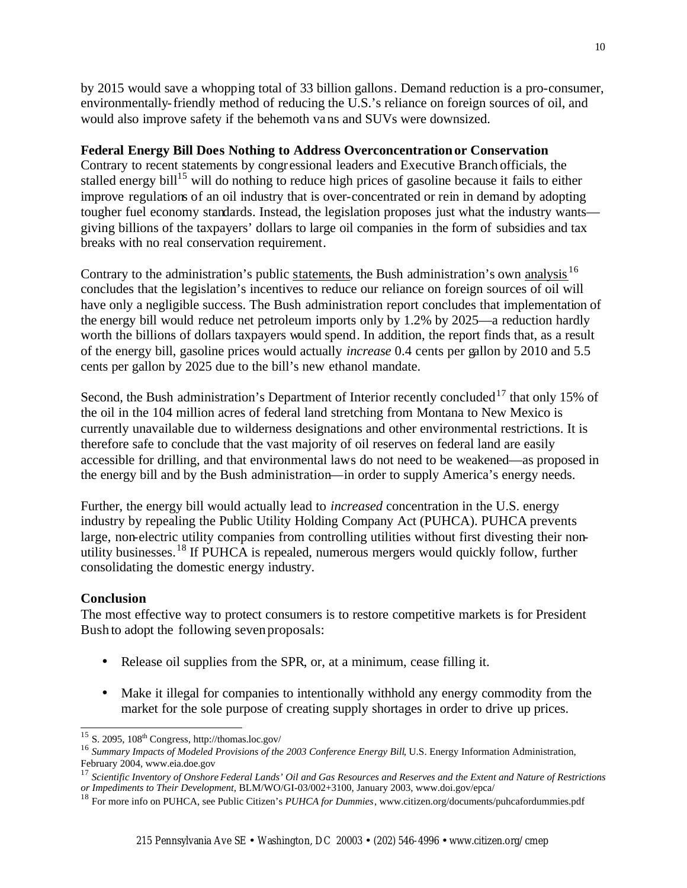by 2015 would save a whopping total of 33 billion gallons. Demand reduction is a pro-consumer, environmentally-friendly method of reducing the U.S.'s reliance on foreign sources of oil, and would also improve safety if the behemoth vans and SUVs were downsized.

#### **Federal Energy Bill Does Nothing to Address Overconcentration or Conservation**

Contrary to recent statements by congressional leaders and Executive Branch officials, the stalled energy bill<sup>15</sup> will do nothing to reduce high prices of gasoline because it fails to either improve regulations of an oil industry that is over-concentrated or rein in demand by adopting tougher fuel economy standards. Instead, the legislation proposes just what the industry wants giving billions of the taxpayers' dollars to large oil companies in the form of subsidies and tax breaks with no real conservation requirement.

Contrary to the administration's public statements, the Bush administration's own analysis<sup>16</sup> concludes that the legislation's incentives to reduce our reliance on foreign sources of oil will have only a negligible success. The Bush administration report concludes that implementation of the energy bill would reduce net petroleum imports only by 1.2% by 2025—a reduction hardly worth the billions of dollars taxpayers would spend. In addition, the report finds that, as a result of the energy bill, gasoline prices would actually *increase* 0.4 cents per gallon by 2010 and 5.5 cents per gallon by 2025 due to the bill's new ethanol mandate.

Second, the Bush administration's Department of Interior recently concluded<sup>17</sup> that only 15% of the oil in the 104 million acres of federal land stretching from Montana to New Mexico is currently unavailable due to wilderness designations and other environmental restrictions. It is therefore safe to conclude that the vast majority of oil reserves on federal land are easily accessible for drilling, and that environmental laws do not need to be weakened—as proposed in the energy bill and by the Bush administration—in order to supply America's energy needs.

Further, the energy bill would actually lead to *increased* concentration in the U.S. energy industry by repealing the Public Utility Holding Company Act (PUHCA). PUHCA prevents large, non-electric utility companies from controlling utilities without first divesting their nonutility businesses.<sup>18</sup> If PUHCA is repealed, numerous mergers would quickly follow, further consolidating the domestic energy industry.

## **Conclusion**

l

The most effective way to protect consumers is to restore competitive markets is for President Bush to adopt the following seven proposals:

- Release oil supplies from the SPR, or, at a minimum, cease filling it.
- Make it illegal for companies to intentionally withhold any energy commodity from the market for the sole purpose of creating supply shortages in order to drive up prices.

 $15$  S. 2095,  $108<sup>th</sup>$  Congress, http://thomas.loc.gov/

<sup>&</sup>lt;sup>16</sup> Summary Impacts of Modeled Provisions of the 2003 Conference Energy Bill, U.S. Energy Information Administration, February 2004, www.eia.doe.gov

<sup>17</sup> *Scientific Inventory of Onshore Federal Lands' Oil and Gas Resources and Reserves and the Extent and Nature of Restrictions or Impediments to Their Development*, BLM/WO/GI-03/002+3100, January 2003, www.doi.gov/epca/

<sup>18</sup> For more info on PUHCA, see Public Citizen's *PUHCA for Dummies*, www.citizen.org/documents/puhcafordummies.pdf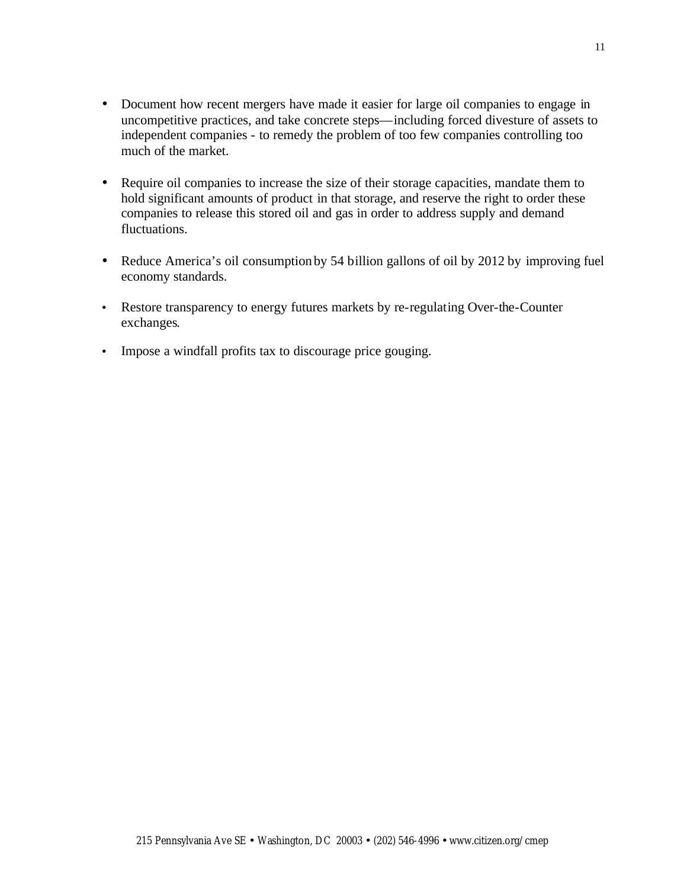- Document how recent mergers have made it easier for large oil companies to engage in uncompetitive practices, and take concrete steps—including forced divesture of assets to independent companies - to remedy the problem of too few companies controlling too much of the market.
- Require oil companies to increase the size of their storage capacities, mandate them to hold significant amounts of product in that storage, and reserve the right to order these companies to release this stored oil and gas in order to address supply and demand fluctuations.
- Reduce America's oil consumption by 54 billion gallons of oil by 2012 by improving fuel economy standards.
- Restore transparency to energy futures markets by re-regulating Over-the-Counter exchanges.
- Impose a windfall profits tax to discourage price gouging.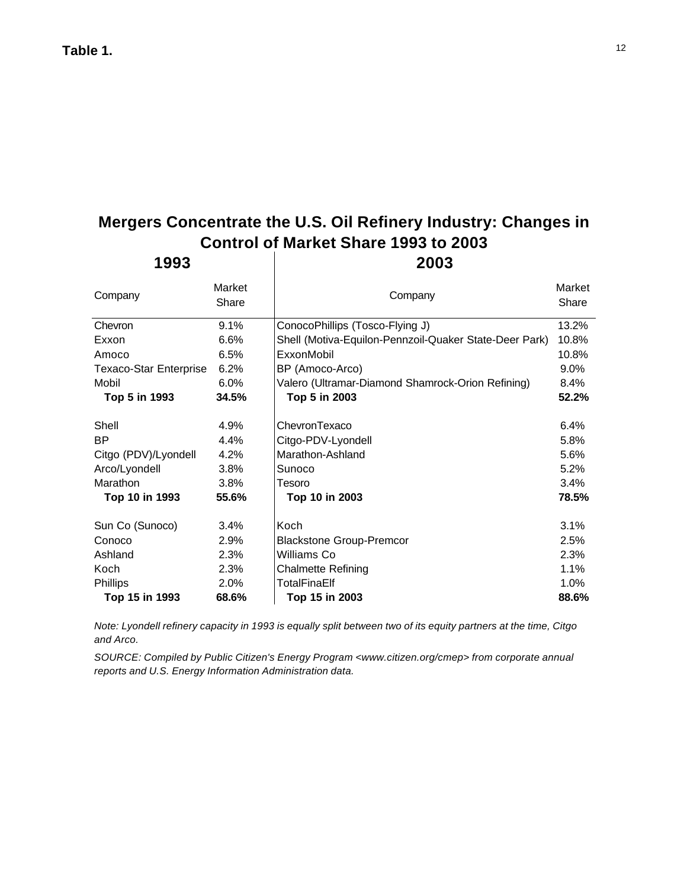# **Mergers Concentrate the U.S. Oil Refinery Industry: Changes in Control of Market Share 1993 to 2003**

| 1993                          |                 | 2003                                                   |                 |  |
|-------------------------------|-----------------|--------------------------------------------------------|-----------------|--|
| Company                       | Market<br>Share | Company                                                | Market<br>Share |  |
| Chevron                       | 9.1%            | ConocoPhillips (Tosco-Flying J)                        |                 |  |
| Exxon                         | 6.6%            | Shell (Motiva-Equilon-Pennzoil-Quaker State-Deer Park) | 10.8%           |  |
| Amoco                         | 6.5%            | ExxonMobil                                             | 10.8%           |  |
| <b>Texaco-Star Enterprise</b> | 6.2%            | BP (Amoco-Arco)                                        | $9.0\%$         |  |
| Mobil                         | 6.0%            | Valero (Ultramar-Diamond Shamrock-Orion Refining)      | $8.4\%$         |  |
| Top 5 in 1993                 | 34.5%           | Top 5 in 2003                                          | 52.2%           |  |
| Shell                         | 4.9%            | ChevronTexaco                                          | 6.4%            |  |
| <b>BP</b>                     | 4.4%            | Citgo-PDV-Lyondell                                     | 5.8%            |  |
| Citgo (PDV)/Lyondell          | 4.2%            | Marathon-Ashland                                       | 5.6%            |  |
| Arco/Lyondell                 | 3.8%            | Sunoco                                                 | 5.2%            |  |
| Marathon                      | 3.8%            | Tesoro                                                 | 3.4%            |  |
| Top 10 in 1993                | 55.6%           | Top 10 in 2003                                         | 78.5%           |  |
| Sun Co (Sunoco)               | 3.4%            | Koch                                                   | 3.1%            |  |
| Conoco                        | 2.9%            | <b>Blackstone Group-Premcor</b>                        | 2.5%            |  |
| Ashland                       | 2.3%            | Williams Co                                            | 2.3%            |  |
| Koch                          | 2.3%            | <b>Chalmette Refining</b>                              | 1.1%            |  |
| Phillips                      | 2.0%            | TotalFinaElf                                           | 1.0%            |  |
| Top 15 in 1993                | 68.6%           | Top 15 in 2003                                         | 88.6%           |  |

*Note: Lyondell refinery capacity in 1993 is equally split between two of its equity partners at the time, Citgo and Arco.*

*SOURCE: Compiled by Public Citizen's Energy Program <www.citizen.org/cmep> from corporate annual reports and U.S. Energy Information Administration data.*